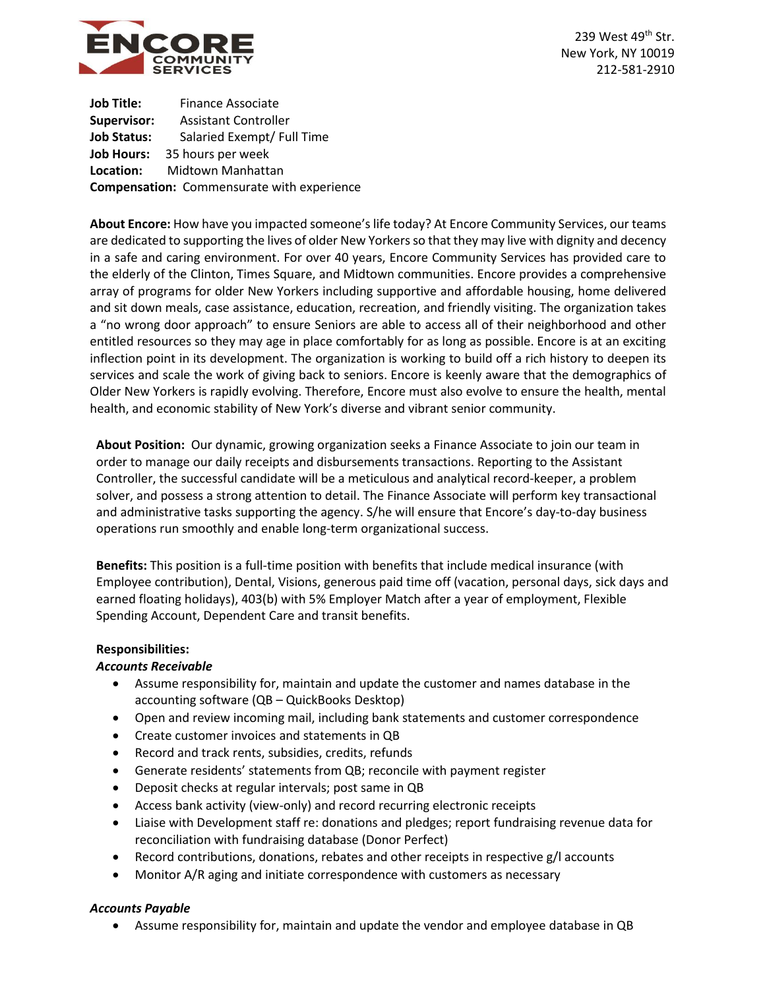

239 West 49<sup>th</sup> Str. New York, NY 10019 212-581-2910

**Job Title:** Finance Associate **Supervisor:** Assistant Controller **Job Status:** Salaried Exempt/ Full Time **Job Hours:** 35 hours per week **Location:** Midtown Manhattan **Compensation:** Commensurate with experience

**About Encore:** How have you impacted someone's life today? At Encore Community Services, our teams are dedicated to supporting the lives of older New Yorkers so that they may live with dignity and decency in a safe and caring environment. For over 40 years, Encore Community Services has provided care to the elderly of the Clinton, Times Square, and Midtown communities. Encore provides a comprehensive array of programs for older New Yorkers including supportive and affordable housing, home delivered and sit down meals, case assistance, education, recreation, and friendly visiting. The organization takes a "no wrong door approach" to ensure Seniors are able to access all of their neighborhood and other entitled resources so they may age in place comfortably for as long as possible. Encore is at an exciting inflection point in its development. The organization is working to build off a rich history to deepen its services and scale the work of giving back to seniors. Encore is keenly aware that the demographics of Older New Yorkers is rapidly evolving. Therefore, Encore must also evolve to ensure the health, mental health, and economic stability of New York's diverse and vibrant senior community.

**About Position:** Our dynamic, growing organization seeks a Finance Associate to join our team in order to manage our daily receipts and disbursements transactions. Reporting to the Assistant Controller, the successful candidate will be a meticulous and analytical record-keeper, a problem solver, and possess a strong attention to detail. The Finance Associate will perform key transactional and administrative tasks supporting the agency. S/he will ensure that Encore's day-to-day business operations run smoothly and enable long-term organizational success.

**Benefits:** This position is a full-time position with benefits that include medical insurance (with Employee contribution), Dental, Visions, generous paid time off (vacation, personal days, sick days and earned floating holidays), 403(b) with 5% Employer Match after a year of employment, Flexible Spending Account, Dependent Care and transit benefits.

# **Responsibilities:**

# *Accounts Receivable*

- Assume responsibility for, maintain and update the customer and names database in the accounting software (QB – QuickBooks Desktop)
- Open and review incoming mail, including bank statements and customer correspondence
- Create customer invoices and statements in QB
- Record and track rents, subsidies, credits, refunds
- Generate residents' statements from QB; reconcile with payment register
- Deposit checks at regular intervals; post same in QB
- Access bank activity (view-only) and record recurring electronic receipts
- Liaise with Development staff re: donations and pledges; report fundraising revenue data for reconciliation with fundraising database (Donor Perfect)
- Record contributions, donations, rebates and other receipts in respective g/l accounts
- Monitor A/R aging and initiate correspondence with customers as necessary

# *Accounts Payable*

• Assume responsibility for, maintain and update the vendor and employee database in QB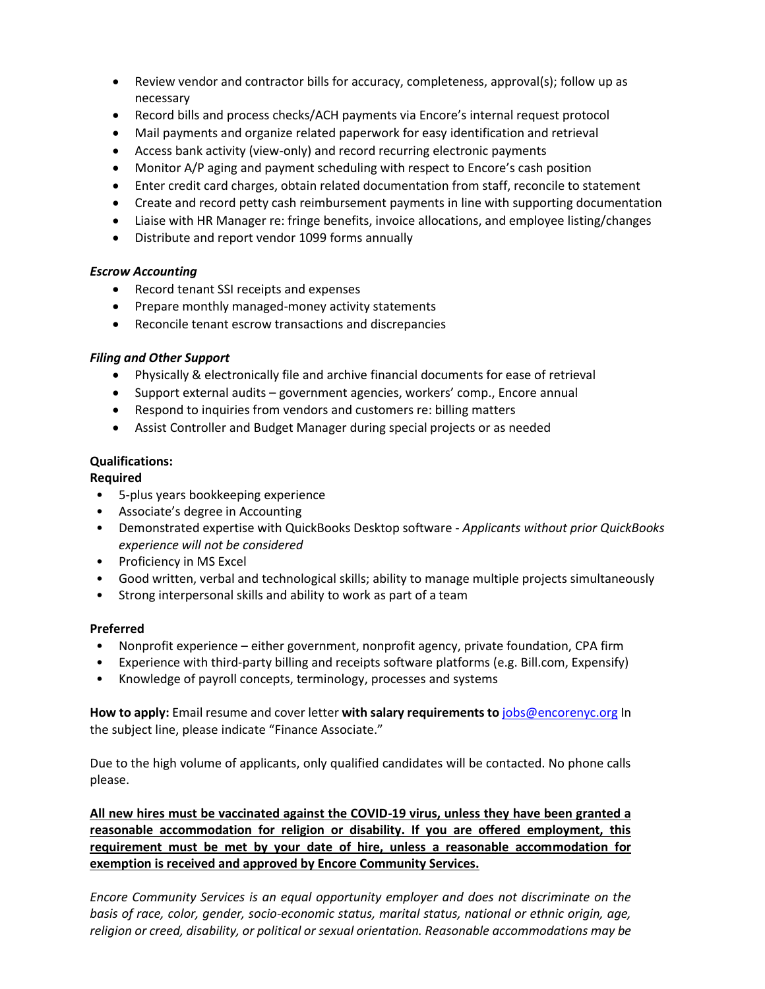- Review vendor and contractor bills for accuracy, completeness, approval(s); follow up as necessary
- Record bills and process checks/ACH payments via Encore's internal request protocol
- Mail payments and organize related paperwork for easy identification and retrieval
- Access bank activity (view-only) and record recurring electronic payments
- Monitor A/P aging and payment scheduling with respect to Encore's cash position
- Enter credit card charges, obtain related documentation from staff, reconcile to statement
- Create and record petty cash reimbursement payments in line with supporting documentation
- Liaise with HR Manager re: fringe benefits, invoice allocations, and employee listing/changes
- Distribute and report vendor 1099 forms annually

## *Escrow Accounting*

- Record tenant SSI receipts and expenses
- Prepare monthly managed-money activity statements
- Reconcile tenant escrow transactions and discrepancies

# *Filing and Other Support*

- Physically & electronically file and archive financial documents for ease of retrieval
- Support external audits government agencies, workers' comp., Encore annual
- Respond to inquiries from vendors and customers re: billing matters
- Assist Controller and Budget Manager during special projects or as needed

## **Qualifications:**

## **Required**

- 5-plus years bookkeeping experience
- Associate's degree in Accounting
- Demonstrated expertise with QuickBooks Desktop software *Applicants without prior QuickBooks experience will not be considered*
- Proficiency in MS Excel
- Good written, verbal and technological skills; ability to manage multiple projects simultaneously
- Strong interpersonal skills and ability to work as part of a team

# **Preferred**

- Nonprofit experience either government, nonprofit agency, private foundation, CPA firm
- Experience with third-party billing and receipts software platforms (e.g. Bill.com, Expensify)
- Knowledge of payroll concepts, terminology, processes and systems

**How to apply:** Email resume and cover letter **with salary requirements to** [jobs@encorenyc.org](mailto:jobs@encorenyc.org) In the subject line, please indicate "Finance Associate."

Due to the high volume of applicants, only qualified candidates will be contacted. No phone calls please.

**All new hires must be vaccinated against the COVID-19 virus, unless they have been granted a reasonable accommodation for religion or disability. If you are offered employment, this requirement must be met by your date of hire, unless a reasonable accommodation for exemption is received and approved by Encore Community Services.**

*Encore Community Services is an equal opportunity employer and does not discriminate on the basis of race, color, gender, socio-economic status, marital status, national or ethnic origin, age, religion or creed, disability, or political or sexual orientation. Reasonable accommodations may be*